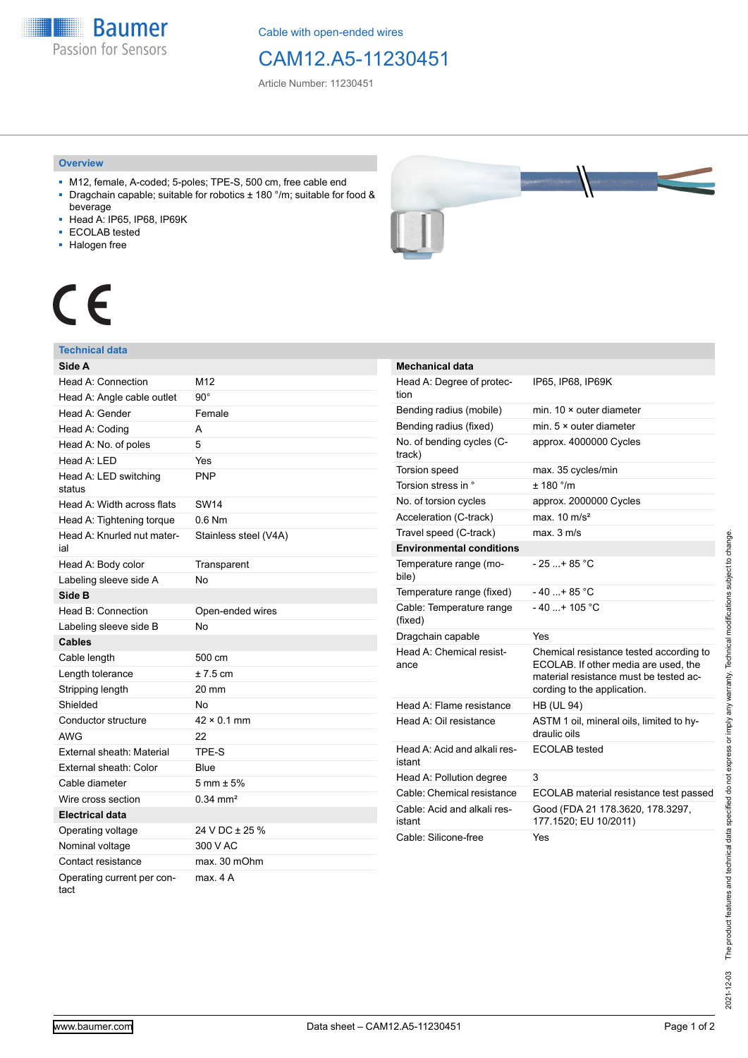**Baumer** Passion for Sensors

Cable with open-ended wires

# CAM12.A5-11230451

Article Number: 11230451

### **Overview**

- M12, female, A-coded; 5-poles; TPE-S, 500 cm, free cable end ■ Dragchain capable; suitable for robotics ± 180 °/m; suitable for food &
- beverage
- Head A: IP65, IP68, IP69K
- ECOLAB tested
- Halogen free



# CE

## **Technical data**

| Side A                             |                        |
|------------------------------------|------------------------|
| Head A: Connection                 | M12                    |
| Head A: Angle cable outlet         | $90^{\circ}$           |
| Head A: Gender                     | Female                 |
| Head A: Coding                     | A                      |
| Head A: No. of poles               | 5                      |
| Head A: LED                        | Yes                    |
| Head A: LED switching<br>status    | <b>PNP</b>             |
| Head A: Width across flats         | <b>SW14</b>            |
| Head A: Tightening torque          | $0.6$ Nm               |
| Head A: Knurled nut mater-<br>ial  | Stainless steel (V4A)  |
| Head A: Body color                 | Transparent            |
| Labeling sleeve side A             | <b>No</b>              |
| Side B                             |                        |
| Head B: Connection                 | Open-ended wires       |
| Labeling sleeve side B             | No                     |
| <b>Cables</b>                      |                        |
| Cable length                       | 500 cm                 |
| Length tolerance                   | $± 7.5$ cm             |
| Stripping length                   | 20 mm                  |
| Shielded                           | No                     |
| Conductor structure                | $42 \times 0.1$ mm     |
| <b>AWG</b>                         | 22                     |
| External sheath: Material          | TPE-S                  |
| External sheath: Color             | Blue                   |
| Cable diameter                     | $5 \text{ mm} \pm 5\%$ |
| Wire cross section                 | $0.34 \text{ mm}^2$    |
| Electrical data                    |                        |
| Operating voltage                  | 24 V DC ± 25 %         |
| Nominal voltage                    | 300 V AC               |
| Contact resistance                 | max. 30 mOhm           |
| Operating current per con-<br>tact | max. 4 A               |

| <b>Mechanical data</b>                 |                                                                                                                                                          |  |  |
|----------------------------------------|----------------------------------------------------------------------------------------------------------------------------------------------------------|--|--|
| Head A: Degree of protec-<br>tion      | IP65, IP68, IP69K                                                                                                                                        |  |  |
| Bending radius (mobile)                | min. $10 \times$ outer diameter                                                                                                                          |  |  |
| Bending radius (fixed)                 | min. $5 \times$ outer diameter                                                                                                                           |  |  |
| No. of bending cycles (C-<br>track)    | approx. 4000000 Cycles                                                                                                                                   |  |  |
| <b>Torsion speed</b>                   | max. 35 cycles/min                                                                                                                                       |  |  |
| Torsion stress in °                    | $+$ 180 $^{\circ}$ /m                                                                                                                                    |  |  |
| No. of torsion cycles                  | approx. 2000000 Cycles                                                                                                                                   |  |  |
| Acceleration (C-track)                 | max. $10 \text{ m/s}^2$                                                                                                                                  |  |  |
| Travel speed (C-track)                 | max. 3 m/s                                                                                                                                               |  |  |
| <b>Environmental conditions</b>        |                                                                                                                                                          |  |  |
| Temperature range (mo-<br>bile)        | $-25+85 °C$                                                                                                                                              |  |  |
| Temperature range (fixed)              | - 40 +85 °C                                                                                                                                              |  |  |
| Cable: Temperature range<br>(fixed)    | $-40+105$ °C                                                                                                                                             |  |  |
| Dragchain capable                      | Yes                                                                                                                                                      |  |  |
| Head A: Chemical resist-<br>ance       | Chemical resistance tested according to<br>ECOLAB. If other media are used, the<br>material resistance must be tested ac-<br>cording to the application. |  |  |
| Head A: Flame resistance               | <b>HB (UL 94)</b>                                                                                                                                        |  |  |
| Head A: Oil resistance                 | ASTM 1 oil, mineral oils, limited to hy-<br>draulic oils                                                                                                 |  |  |
| Head A: Acid and alkali res-<br>istant | <b>ECOLAB</b> tested                                                                                                                                     |  |  |
| Head A: Pollution degree               | 3                                                                                                                                                        |  |  |
| Cable: Chemical resistance             | ECOLAB material resistance test passed                                                                                                                   |  |  |
| Cable: Acid and alkali res-<br>istant  | Good (FDA 21 178.3620, 178.3297,<br>177.1520; EU 10/2011)                                                                                                |  |  |
| Cable: Silicone-free                   | Yes                                                                                                                                                      |  |  |